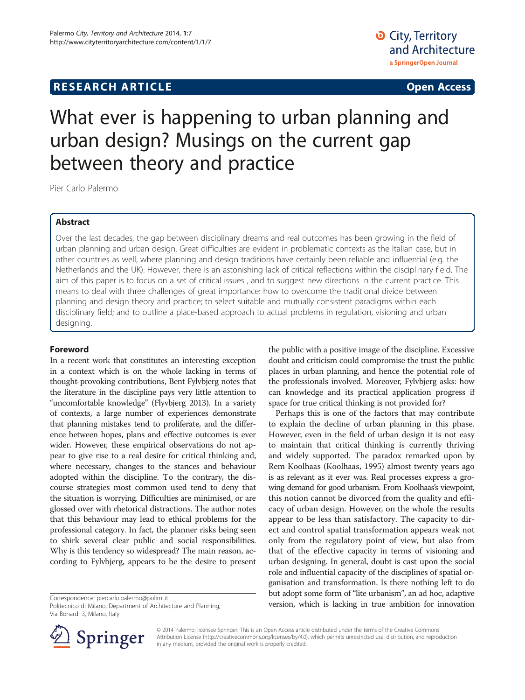# **RESEARCH ARTICLE Example 2018 12:00 THE Open Access**

# What ever is happening to urban planning and urban design? Musings on the current gap between theory and practice

Pier Carlo Palermo

# Abstract

Over the last decades, the gap between disciplinary dreams and real outcomes has been growing in the field of urban planning and urban design. Great difficulties are evident in problematic contexts as the Italian case, but in other countries as well, where planning and design traditions have certainly been reliable and influential (e.g. the Netherlands and the UK). However, there is an astonishing lack of critical reflections within the disciplinary field. The aim of this paper is to focus on a set of critical issues , and to suggest new directions in the current practice. This means to deal with three challenges of great importance: how to overcome the traditional divide between planning and design theory and practice; to select suitable and mutually consistent paradigms within each disciplinary field; and to outline a place-based approach to actual problems in regulation, visioning and urban designing.

### Foreword

In a recent work that constitutes an interesting exception in a context which is on the whole lacking in terms of thought-provoking contributions, Bent Fylvbjerg notes that the literature in the discipline pays very little attention to "uncomfortable knowledge" (Flyvbjerg [2013\)](#page-7-0). In a variety of contexts, a large number of experiences demonstrate that planning mistakes tend to proliferate, and the difference between hopes, plans and effective outcomes is ever wider. However, these empirical observations do not appear to give rise to a real desire for critical thinking and, where necessary, changes to the stances and behaviour adopted within the discipline. To the contrary, the discourse strategies most common used tend to deny that the situation is worrying. Difficulties are minimised, or are glossed over with rhetorical distractions. The author notes that this behaviour may lead to ethical problems for the professional category. In fact, the planner risks being seen to shirk several clear public and social responsibilities. Why is this tendency so widespread? The main reason, according to Fylvbjerg, appears to be the desire to present

Politecnico di Milano, Department of Architecture and Planning, Via Bonardi 3, Milano, Italy

the public with a positive image of the discipline. Excessive doubt and criticism could compromise the trust the public places in urban planning, and hence the potential role of the professionals involved. Moreover, Fylvbjerg asks: how can knowledge and its practical application progress if space for true critical thinking is not provided for?

Perhaps this is one of the factors that may contribute to explain the decline of urban planning in this phase. However, even in the field of urban design it is not easy to maintain that critical thinking is currently thriving and widely supported. The paradox remarked upon by Rem Koolhaas (Koolhaas, [1995\)](#page-7-0) almost twenty years ago is as relevant as it ever was. Real processes express a growing demand for good urbanism. From Koolhaas's viewpoint, this notion cannot be divorced from the quality and efficacy of urban design. However, on the whole the results appear to be less than satisfactory. The capacity to direct and control spatial transformation appears weak not only from the regulatory point of view, but also from that of the effective capacity in terms of visioning and urban designing. In general, doubt is cast upon the social role and influential capacity of the disciplines of spatial organisation and transformation. Is there nothing left to do but adopt some form of "lite urbanism", an ad hoc, adaptive version, which is lacking in true ambition for innovation Correspondence: [piercarlo.palermo@polimi.it](mailto:piercarlo.palermo@polimi.it)



© 2014 Palermo; licensee Springer. This is an Open Access article distributed under the terms of the Creative Commons Attribution License [\(http://creativecommons.org/licenses/by/4.0\)](http://creativecommons.org/licenses/by/4.0), which permits unrestricted use, distribution, and reproduction in any medium, provided the original work is properly credited.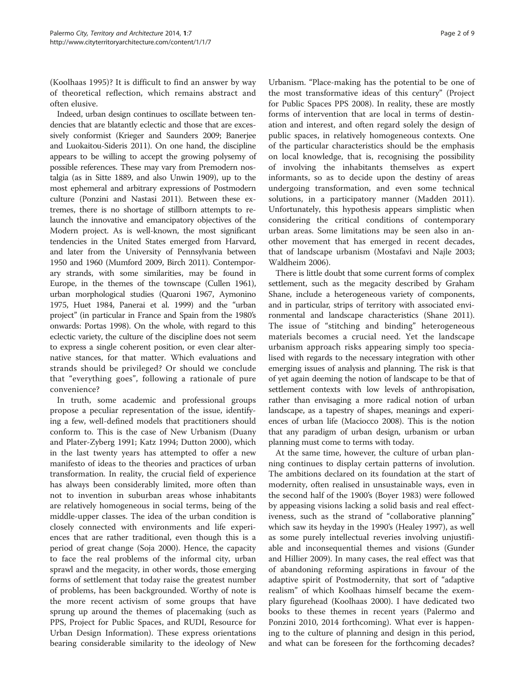(Koolhaas [1995](#page-7-0))? It is difficult to find an answer by way of theoretical reflection, which remains abstract and often elusive.

Indeed, urban design continues to oscillate between tendencies that are blatantly eclectic and those that are excessively conformist (Krieger and Saunders [2009](#page-7-0); Banerjee and Luokaitou-Sideris [2011](#page-7-0)). On one hand, the discipline appears to be willing to accept the growing polysemy of possible references. These may vary from Premodern nostalgia (as in Sitte [1889](#page-8-0), and also Unwin [1909\)](#page-8-0), up to the most ephemeral and arbitrary expressions of Postmodern culture (Ponzini and Nastasi [2011](#page-8-0)). Between these extremes, there is no shortage of stillborn attempts to relaunch the innovative and emancipatory objectives of the Modern project. As is well-known, the most significant tendencies in the United States emerged from Harvard, and later from the University of Pennsylvania between 1950 and 1960 (Mumford [2009,](#page-7-0) Birch [2011](#page-7-0)). Contemporary strands, with some similarities, may be found in Europe, in the themes of the townscape (Cullen [1961](#page-7-0)), urban morphological studies (Quaroni [1967,](#page-8-0) Aymonino [1975,](#page-7-0) Huet [1984,](#page-7-0) Panerai et al. [1999\)](#page-8-0) and the "urban project" (in particular in France and Spain from the 1980's onwards: Portas [1998](#page-8-0)). On the whole, with regard to this eclectic variety, the culture of the discipline does not seem to express a single coherent position, or even clear alternative stances, for that matter. Which evaluations and strands should be privileged? Or should we conclude that "everything goes", following a rationale of pure convenience?

In truth, some academic and professional groups propose a peculiar representation of the issue, identifying a few, well-defined models that practitioners should conform to. This is the case of New Urbanism (Duany and Plater-Zyberg [1991](#page-7-0); Katz [1994;](#page-7-0) Dutton [2000\)](#page-7-0), which in the last twenty years has attempted to offer a new manifesto of ideas to the theories and practices of urban transformation. In reality, the crucial field of experience has always been considerably limited, more often than not to invention in suburban areas whose inhabitants are relatively homogeneous in social terms, being of the middle-upper classes. The idea of the urban condition is closely connected with environments and life experiences that are rather traditional, even though this is a period of great change (Soja [2000](#page-8-0)). Hence, the capacity to face the real problems of the informal city, urban sprawl and the megacity, in other words, those emerging forms of settlement that today raise the greatest number of problems, has been backgrounded. Worthy of note is the more recent activism of some groups that have sprung up around the themes of placemaking (such as PPS, Project for Public Spaces, and RUDI, Resource for Urban Design Information). These express orientations bearing considerable similarity to the ideology of New

Urbanism. "Place-making has the potential to be one of the most transformative ideas of this century" (Project for Public Spaces PPS [2008\)](#page-8-0). In reality, these are mostly forms of intervention that are local in terms of destination and interest, and often regard solely the design of public spaces, in relatively homogeneous contexts. One of the particular characteristics should be the emphasis on local knowledge, that is, recognising the possibility of involving the inhabitants themselves as expert informants, so as to decide upon the destiny of areas undergoing transformation, and even some technical solutions, in a participatory manner (Madden [2011](#page-7-0)). Unfortunately, this hypothesis appears simplistic when considering the critical conditions of contemporary urban areas. Some limitations may be seen also in another movement that has emerged in recent decades, that of landscape urbanism (Mostafavi and Najle [2003](#page-7-0); Waldheim [2006\)](#page-8-0).

There is little doubt that some current forms of complex settlement, such as the megacity described by Graham Shane, include a heterogeneous variety of components, and in particular, strips of territory with associated environmental and landscape characteristics (Shane [2011](#page-8-0)). The issue of "stitching and binding" heterogeneous materials becomes a crucial need. Yet the landscape urbanism approach risks appearing simply too specialised with regards to the necessary integration with other emerging issues of analysis and planning. The risk is that of yet again deeming the notion of landscape to be that of settlement contexts with low levels of anthropisation, rather than envisaging a more radical notion of urban landscape, as a tapestry of shapes, meanings and experiences of urban life (Maciocco [2008](#page-7-0)). This is the notion that any paradigm of urban design, urbanism or urban planning must come to terms with today.

At the same time, however, the culture of urban planning continues to display certain patterns of involution. The ambitions declared on its foundation at the start of modernity, often realised in unsustainable ways, even in the second half of the 1900's (Boyer [1983](#page-7-0)) were followed by appeasing visions lacking a solid basis and real effectiveness, such as the strand of "collaborative planning" which saw its heyday in the 1990's (Healey [1997\)](#page-7-0), as well as some purely intellectual reveries involving unjustifiable and inconsequential themes and visions (Gunder and Hillier [2009\)](#page-7-0). In many cases, the real effect was that of abandoning reforming aspirations in favour of the adaptive spirit of Postmodernity, that sort of "adaptive realism" of which Koolhaas himself became the exemplary figurehead (Koolhaas [2000\)](#page-7-0). I have dedicated two books to these themes in recent years (Palermo and Ponzini [2010,](#page-7-0) 2014 forthcoming). What ever is happening to the culture of planning and design in this period, and what can be foreseen for the forthcoming decades?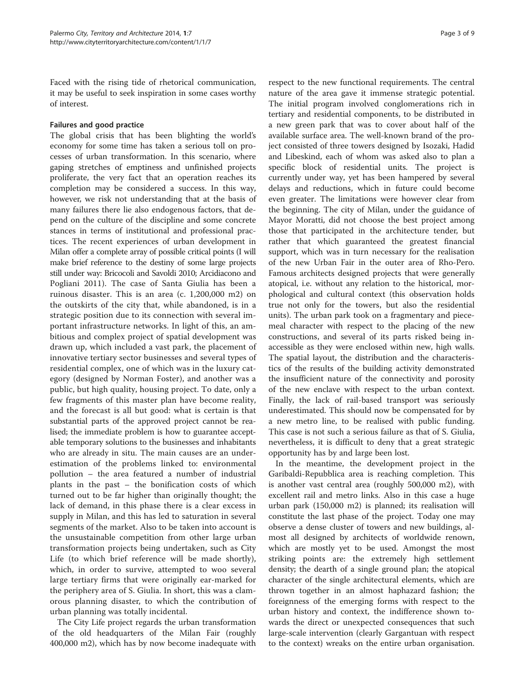Faced with the rising tide of rhetorical communication, it may be useful to seek inspiration in some cases worthy of interest.

## Failures and good practice

The global crisis that has been blighting the world's economy for some time has taken a serious toll on processes of urban transformation. In this scenario, where gaping stretches of emptiness and unfinished projects proliferate, the very fact that an operation reaches its completion may be considered a success. In this way, however, we risk not understanding that at the basis of many failures there lie also endogenous factors, that depend on the culture of the discipline and some concrete stances in terms of institutional and professional practices. The recent experiences of urban development in Milan offer a complete array of possible critical points (I will make brief reference to the destiny of some large projects still under way: Bricocoli and Savoldi [2010](#page-7-0); Arcidiacono and Pogliani [2011](#page-7-0)). The case of Santa Giulia has been a ruinous disaster. This is an area (c. 1,200,000 m2) on the outskirts of the city that, while abandoned, is in a strategic position due to its connection with several important infrastructure networks. In light of this, an ambitious and complex project of spatial development was drawn up, which included a vast park, the placement of innovative tertiary sector businesses and several types of residential complex, one of which was in the luxury category (designed by Norman Foster), and another was a public, but high quality, housing project. To date, only a few fragments of this master plan have become reality, and the forecast is all but good: what is certain is that substantial parts of the approved project cannot be realised; the immediate problem is how to guarantee acceptable temporary solutions to the businesses and inhabitants who are already in situ. The main causes are an underestimation of the problems linked to: environmental pollution – the area featured a number of industrial plants in the past – the bonification costs of which turned out to be far higher than originally thought; the lack of demand, in this phase there is a clear excess in supply in Milan, and this has led to saturation in several segments of the market. Also to be taken into account is the unsustainable competition from other large urban transformation projects being undertaken, such as City Life (to which brief reference will be made shortly), which, in order to survive, attempted to woo several large tertiary firms that were originally ear-marked for the periphery area of S. Giulia. In short, this was a clamorous planning disaster, to which the contribution of urban planning was totally incidental.

The City Life project regards the urban transformation of the old headquarters of the Milan Fair (roughly 400,000 m2), which has by now become inadequate with

respect to the new functional requirements. The central nature of the area gave it immense strategic potential. The initial program involved conglomerations rich in tertiary and residential components, to be distributed in a new green park that was to cover about half of the available surface area. The well-known brand of the project consisted of three towers designed by Isozaki, Hadid and Libeskind, each of whom was asked also to plan a specific block of residential units. The project is currently under way, yet has been hampered by several delays and reductions, which in future could become even greater. The limitations were however clear from the beginning. The city of Milan, under the guidance of Mayor Moratti, did not choose the best project among those that participated in the architecture tender, but rather that which guaranteed the greatest financial support, which was in turn necessary for the realisation of the new Urban Fair in the outer area of Rho-Pero. Famous architects designed projects that were generally atopical, i.e. without any relation to the historical, morphological and cultural context (this observation holds true not only for the towers, but also the residential units). The urban park took on a fragmentary and piecemeal character with respect to the placing of the new constructions, and several of its parts risked being inaccessible as they were enclosed within new, high walls. The spatial layout, the distribution and the characteristics of the results of the building activity demonstrated the insufficient nature of the connectivity and porosity of the new enclave with respect to the urban context. Finally, the lack of rail-based transport was seriously underestimated. This should now be compensated for by a new metro line, to be realised with public funding. This case is not such a serious failure as that of S. Giulia, nevertheless, it is difficult to deny that a great strategic opportunity has by and large been lost.

In the meantime, the development project in the Garibaldi-Repubblica area is reaching completion. This is another vast central area (roughly 500,000 m2), with excellent rail and metro links. Also in this case a huge urban park (150,000 m2) is planned; its realisation will constitute the last phase of the project. Today one may observe a dense cluster of towers and new buildings, almost all designed by architects of worldwide renown, which are mostly yet to be used. Amongst the most striking points are: the extremely high settlement density; the dearth of a single ground plan; the atopical character of the single architectural elements, which are thrown together in an almost haphazard fashion; the foreignness of the emerging forms with respect to the urban history and context, the indifference shown towards the direct or unexpected consequences that such large-scale intervention (clearly Gargantuan with respect to the context) wreaks on the entire urban organisation.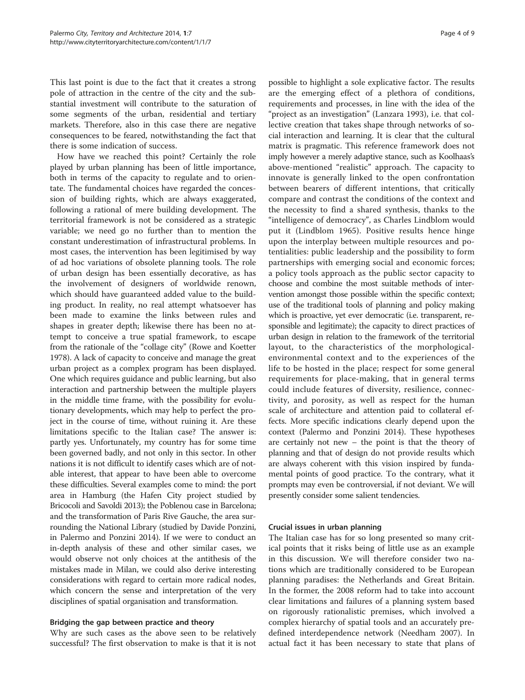This last point is due to the fact that it creates a strong pole of attraction in the centre of the city and the substantial investment will contribute to the saturation of some segments of the urban, residential and tertiary markets. Therefore, also in this case there are negative consequences to be feared, notwithstanding the fact that there is some indication of success.

How have we reached this point? Certainly the role played by urban planning has been of little importance, both in terms of the capacity to regulate and to orientate. The fundamental choices have regarded the concession of building rights, which are always exaggerated, following a rational of mere building development. The territorial framework is not be considered as a strategic variable; we need go no further than to mention the constant underestimation of infrastructural problems. In most cases, the intervention has been legitimised by way of ad hoc variations of obsolete planning tools. The role of urban design has been essentially decorative, as has the involvement of designers of worldwide renown, which should have guaranteed added value to the building product. In reality, no real attempt whatsoever has been made to examine the links between rules and shapes in greater depth; likewise there has been no attempt to conceive a true spatial framework, to escape from the rationale of the "collage city" (Rowe and Koetter [1978\)](#page-8-0). A lack of capacity to conceive and manage the great urban project as a complex program has been displayed. One which requires guidance and public learning, but also interaction and partnership between the multiple players in the middle time frame, with the possibility for evolutionary developments, which may help to perfect the project in the course of time, without ruining it. Are these limitations specific to the Italian case? The answer is: partly yes. Unfortunately, my country has for some time been governed badly, and not only in this sector. In other nations it is not difficult to identify cases which are of notable interest, that appear to have been able to overcome these difficulties. Several examples come to mind: the port area in Hamburg (the Hafen City project studied by Bricocoli and Savoldi [2013\)](#page-7-0); the Poblenou case in Barcelona; and the transformation of Paris Rive Gauche, the area surrounding the National Library (studied by Davide Ponzini, in Palermo and Ponzini [2014\)](#page-8-0). If we were to conduct an in-depth analysis of these and other similar cases, we would observe not only choices at the antithesis of the mistakes made in Milan, we could also derive interesting considerations with regard to certain more radical nodes, which concern the sense and interpretation of the very disciplines of spatial organisation and transformation.

#### Bridging the gap between practice and theory

Why are such cases as the above seen to be relatively successful? The first observation to make is that it is not

possible to highlight a sole explicative factor. The results are the emerging effect of a plethora of conditions, requirements and processes, in line with the idea of the "project as an investigation" (Lanzara [1993\)](#page-7-0), i.e. that collective creation that takes shape through networks of social interaction and learning. It is clear that the cultural matrix is pragmatic. This reference framework does not imply however a merely adaptive stance, such as Koolhaas's above-mentioned "realistic" approach. The capacity to innovate is generally linked to the open confrontation between bearers of different intentions, that critically compare and contrast the conditions of the context and the necessity to find a shared synthesis, thanks to the "intelligence of democracy", as Charles Lindblom would put it (Lindblom [1965\)](#page-7-0). Positive results hence hinge upon the interplay between multiple resources and potentialities: public leadership and the possibility to form partnerships with emerging social and economic forces; a policy tools approach as the public sector capacity to choose and combine the most suitable methods of intervention amongst those possible within the specific context; use of the traditional tools of planning and policy making which is proactive, yet ever democratic (i.e. transparent, responsible and legitimate); the capacity to direct practices of urban design in relation to the framework of the territorial layout, to the characteristics of the morphologicalenvironmental context and to the experiences of the life to be hosted in the place; respect for some general requirements for place-making, that in general terms could include features of diversity, resilience, connectivity, and porosity, as well as respect for the human scale of architecture and attention paid to collateral effects. More specific indications clearly depend upon the context (Palermo and Ponzini [2014](#page-8-0)). These hypotheses are certainly not new – the point is that the theory of planning and that of design do not provide results which are always coherent with this vision inspired by fundamental points of good practice. To the contrary, what it prompts may even be controversial, if not deviant. We will presently consider some salient tendencies.

### Crucial issues in urban planning

The Italian case has for so long presented so many critical points that it risks being of little use as an example in this discussion. We will therefore consider two nations which are traditionally considered to be European planning paradises: the Netherlands and Great Britain. In the former, the 2008 reform had to take into account clear limitations and failures of a planning system based on rigorously rationalistic premises, which involved a complex hierarchy of spatial tools and an accurately predefined interdependence network (Needham [2007](#page-7-0)). In actual fact it has been necessary to state that plans of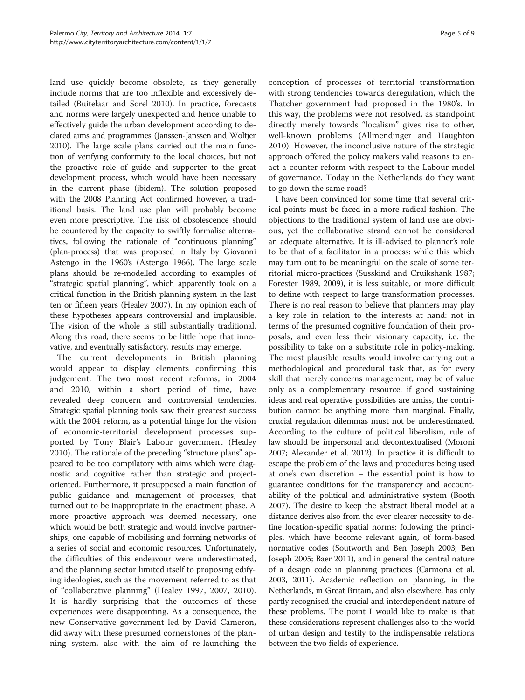land use quickly become obsolete, as they generally include norms that are too inflexible and excessively detailed (Buitelaar and Sorel [2010](#page-7-0)). In practice, forecasts and norms were largely unexpected and hence unable to effectively guide the urban development according to declared aims and programmes (Janssen-Janssen and Woltjer [2010\)](#page-7-0). The large scale plans carried out the main function of verifying conformity to the local choices, but not the proactive role of guide and supporter to the great development process, which would have been necessary in the current phase (ibidem). The solution proposed with the 2008 Planning Act confirmed however, a traditional basis. The land use plan will probably become even more prescriptive. The risk of obsolescence should be countered by the capacity to swiftly formalise alternatives, following the rationale of "continuous planning" (plan-process) that was proposed in Italy by Giovanni Astengo in the 1960's (Astengo [1966\)](#page-7-0). The large scale plans should be re-modelled according to examples of "strategic spatial planning", which apparently took on a critical function in the British planning system in the last ten or fifteen years (Healey [2007](#page-7-0)). In my opinion each of these hypotheses appears controversial and implausible. The vision of the whole is still substantially traditional. Along this road, there seems to be little hope that innovative, and eventually satisfactory, results may emerge.

The current developments in British planning would appear to display elements confirming this judgement. The two most recent reforms, in 2004 and 2010, within a short period of time, have revealed deep concern and controversial tendencies. Strategic spatial planning tools saw their greatest success with the 2004 reform, as a potential hinge for the vision of economic-territorial development processes supported by Tony Blair's Labour government (Healey [2010\)](#page-7-0). The rationale of the preceding "structure plans" appeared to be too compilatory with aims which were diagnostic and cognitive rather than strategic and projectoriented. Furthermore, it presupposed a main function of public guidance and management of processes, that turned out to be inappropriate in the enactment phase. A more proactive approach was deemed necessary, one which would be both strategic and would involve partnerships, one capable of mobilising and forming networks of a series of social and economic resources. Unfortunately, the difficulties of this endeavour were underestimated, and the planning sector limited itself to proposing edifying ideologies, such as the movement referred to as that of "collaborative planning" (Healey [1997, 2007](#page-7-0), [2010](#page-7-0)). It is hardly surprising that the outcomes of these experiences were disappointing. As a consequence, the new Conservative government led by David Cameron, did away with these presumed cornerstones of the planning system, also with the aim of re-launching the

conception of processes of territorial transformation with strong tendencies towards deregulation, which the Thatcher government had proposed in the 1980's. In this way, the problems were not resolved, as standpoint directly merely towards "localism" gives rise to other, well-known problems (Allmendinger and Haughton [2010\)](#page-7-0). However, the inconclusive nature of the strategic approach offered the policy makers valid reasons to enact a counter-reform with respect to the Labour model of governance. Today in the Netherlands do they want to go down the same road?

I have been convinced for some time that several critical points must be faced in a more radical fashion. The objections to the traditional system of land use are obvious, yet the collaborative strand cannot be considered an adequate alternative. It is ill-advised to planner's role to be that of a facilitator in a process: while this which may turn out to be meaningful on the scale of some territorial micro-practices (Susskind and Cruikshank [1987](#page-8-0); Forester [1989](#page-7-0), [2009\)](#page-7-0), it is less suitable, or more difficult to define with respect to large transformation processes. There is no real reason to believe that planners may play a key role in relation to the interests at hand: not in terms of the presumed cognitive foundation of their proposals, and even less their visionary capacity, i.e. the possibility to take on a substitute role in policy-making. The most plausible results would involve carrying out a methodological and procedural task that, as for every skill that merely concerns management, may be of value only as a complementary resource: if good sustaining ideas and real operative possibilities are amiss, the contribution cannot be anything more than marginal. Finally, crucial regulation dilemmas must not be underestimated. According to the culture of political liberalism, rule of law should be impersonal and decontextualised (Moroni [2007;](#page-7-0) Alexander et al. [2012\)](#page-7-0). In practice it is difficult to escape the problem of the laws and procedures being used at one's own discretion – the essential point is how to guarantee conditions for the transparency and accountability of the political and administrative system (Booth [2007\)](#page-7-0). The desire to keep the abstract liberal model at a distance derives also from the ever clearer necessity to define location-specific spatial norms: following the principles, which have become relevant again, of form-based normative codes (Soutworth and Ben Joseph [2003](#page-8-0); Ben Joseph [2005](#page-7-0); Baer [2011](#page-7-0)), and in general the central nature of a design code in planning practices (Carmona et al. [2003](#page-7-0), [2011](#page-7-0)). Academic reflection on planning, in the Netherlands, in Great Britain, and also elsewhere, has only partly recognised the crucial and interdependent nature of these problems. The point I would like to make is that these considerations represent challenges also to the world of urban design and testify to the indispensable relations between the two fields of experience.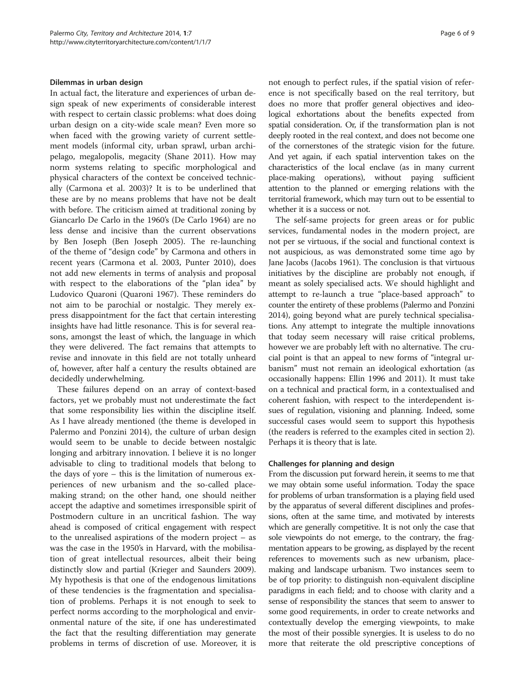#### Dilemmas in urban design

In actual fact, the literature and experiences of urban design speak of new experiments of considerable interest with respect to certain classic problems: what does doing urban design on a city-wide scale mean? Even more so when faced with the growing variety of current settlement models (informal city, urban sprawl, urban archipelago, megalopolis, megacity (Shane [2011](#page-8-0)). How may norm systems relating to specific morphological and physical characters of the context be conceived technically (Carmona et al. [2003\)](#page-7-0)? It is to be underlined that these are by no means problems that have not be dealt with before. The criticism aimed at traditional zoning by Giancarlo De Carlo in the 1960's (De Carlo [1964](#page-7-0)) are no less dense and incisive than the current observations by Ben Joseph (Ben Joseph [2005\)](#page-7-0). The re-launching of the theme of "design code" by Carmona and others in recent years (Carmona et al. [2003](#page-7-0), Punter [2010](#page-8-0)), does not add new elements in terms of analysis and proposal with respect to the elaborations of the "plan idea" by Ludovico Quaroni (Quaroni [1967](#page-8-0)). These reminders do not aim to be parochial or nostalgic. They merely express disappointment for the fact that certain interesting insights have had little resonance. This is for several reasons, amongst the least of which, the language in which they were delivered. The fact remains that attempts to revise and innovate in this field are not totally unheard of, however, after half a century the results obtained are decidedly underwhelming.

These failures depend on an array of context-based factors, yet we probably must not underestimate the fact that some responsibility lies within the discipline itself. As I have already mentioned (the theme is developed in Palermo and Ponzini [2014](#page-8-0)), the culture of urban design would seem to be unable to decide between nostalgic longing and arbitrary innovation. I believe it is no longer advisable to cling to traditional models that belong to the days of yore – this is the limitation of numerous experiences of new urbanism and the so-called placemaking strand; on the other hand, one should neither accept the adaptive and sometimes irresponsible spirit of Postmodern culture in an uncritical fashion. The way ahead is composed of critical engagement with respect to the unrealised aspirations of the modern project – as was the case in the 1950's in Harvard, with the mobilisation of great intellectual resources, albeit their being distinctly slow and partial (Krieger and Saunders [2009](#page-7-0)). My hypothesis is that one of the endogenous limitations of these tendencies is the fragmentation and specialisation of problems. Perhaps it is not enough to seek to perfect norms according to the morphological and environmental nature of the site, if one has underestimated the fact that the resulting differentiation may generate problems in terms of discretion of use. Moreover, it is

not enough to perfect rules, if the spatial vision of reference is not specifically based on the real territory, but does no more that proffer general objectives and ideological exhortations about the benefits expected from spatial consideration. Or, if the transformation plan is not deeply rooted in the real context, and does not become one of the cornerstones of the strategic vision for the future. And yet again, if each spatial intervention takes on the characteristics of the local enclave (as in many current place-making operations), without paying sufficient attention to the planned or emerging relations with the territorial framework, which may turn out to be essential to whether it is a success or not.

The self-same projects for green areas or for public services, fundamental nodes in the modern project, are not per se virtuous, if the social and functional context is not auspicious, as was demonstrated some time ago by Jane Jacobs (Jacobs [1961](#page-7-0)). The conclusion is that virtuous initiatives by the discipline are probably not enough, if meant as solely specialised acts. We should highlight and attempt to re-launch a true "place-based approach" to counter the entirety of these problems (Palermo and Ponzini [2014\)](#page-8-0), going beyond what are purely technical specialisations. Any attempt to integrate the multiple innovations that today seem necessary will raise critical problems, however we are probably left with no alternative. The crucial point is that an appeal to new forms of "integral urbanism" must not remain an ideological exhortation (as occasionally happens: Ellin [1996](#page-7-0) and [2011\)](#page-7-0). It must take on a technical and practical form, in a contextualised and coherent fashion, with respect to the interdependent issues of regulation, visioning and planning. Indeed, some successful cases would seem to support this hypothesis (the readers is referred to the examples cited in section 2). Perhaps it is theory that is late.

#### Challenges for planning and design

From the discussion put forward herein, it seems to me that we may obtain some useful information. Today the space for problems of urban transformation is a playing field used by the apparatus of several different disciplines and professions, often at the same time, and motivated by interests which are generally competitive. It is not only the case that sole viewpoints do not emerge, to the contrary, the fragmentation appears to be growing, as displayed by the recent references to movements such as new urbanism, placemaking and landscape urbanism. Two instances seem to be of top priority: to distinguish non-equivalent discipline paradigms in each field; and to choose with clarity and a sense of responsibility the stances that seem to answer to some good requirements, in order to create networks and contextually develop the emerging viewpoints, to make the most of their possible synergies. It is useless to do no more that reiterate the old prescriptive conceptions of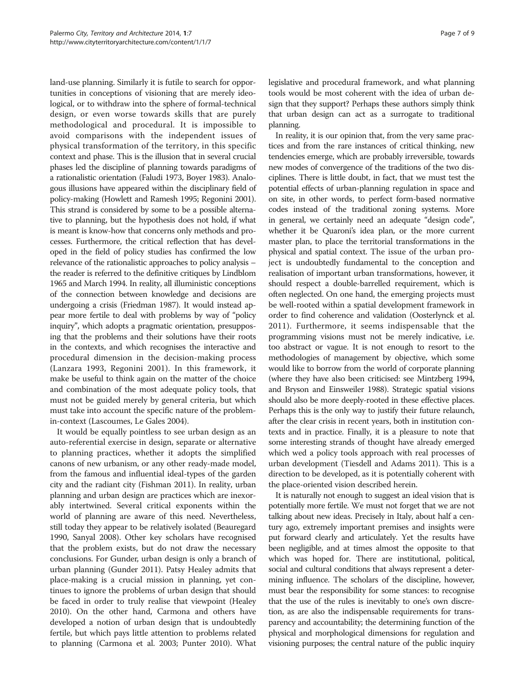land-use planning. Similarly it is futile to search for opportunities in conceptions of visioning that are merely ideological, or to withdraw into the sphere of formal-technical design, or even worse towards skills that are purely methodological and procedural. It is impossible to avoid comparisons with the independent issues of physical transformation of the territory, in this specific context and phase. This is the illusion that in several crucial phases led the discipline of planning towards paradigms of a rationalistic orientation (Faludi [1973](#page-7-0), Boyer [1983\)](#page-7-0). Analogous illusions have appeared within the disciplinary field of policy-making (Howlett and Ramesh [1995;](#page-7-0) Regonini [2001](#page-8-0)). This strand is considered by some to be a possible alternative to planning, but the hypothesis does not hold, if what is meant is know-how that concerns only methods and processes. Furthermore, the critical reflection that has developed in the field of policy studies has confirmed the low relevance of the rationalistic approaches to policy analysis – the reader is referred to the definitive critiques by Lindblom [1965](#page-7-0) and March [1994](#page-7-0). In reality, all illuministic conceptions of the connection between knowledge and decisions are undergoing a crisis (Friedman [1987\)](#page-7-0). It would instead appear more fertile to deal with problems by way of "policy inquiry", which adopts a pragmatic orientation, presupposing that the problems and their solutions have their roots in the contexts, and which recognises the interactive and procedural dimension in the decision-making process (Lanzara [1993](#page-7-0), Regonini [2001](#page-8-0)). In this framework, it make be useful to think again on the matter of the choice and combination of the most adequate policy tools, that must not be guided merely by general criteria, but which must take into account the specific nature of the problemin-context (Lascoumes, Le Gales [2004](#page-7-0)).

It would be equally pointless to see urban design as an auto-referential exercise in design, separate or alternative to planning practices, whether it adopts the simplified canons of new urbanism, or any other ready-made model, from the famous and influential ideal-types of the garden city and the radiant city (Fishman [2011\)](#page-7-0). In reality, urban planning and urban design are practices which are inexorably intertwined. Several critical exponents within the world of planning are aware of this need. Nevertheless, still today they appear to be relatively isolated (Beauregard [1990,](#page-7-0) Sanyal [2008](#page-8-0)). Other key scholars have recognised that the problem exists, but do not draw the necessary conclusions. For Gunder, urban design is only a branch of urban planning (Gunder [2011\)](#page-7-0). Patsy Healey admits that place-making is a crucial mission in planning, yet continues to ignore the problems of urban design that should be faced in order to truly realise that viewpoint (Healey [2010\)](#page-7-0). On the other hand, Carmona and others have developed a notion of urban design that is undoubtedly fertile, but which pays little attention to problems related to planning (Carmona et al. [2003;](#page-7-0) Punter [2010](#page-8-0)). What legislative and procedural framework, and what planning tools would be most coherent with the idea of urban design that they support? Perhaps these authors simply think that urban design can act as a surrogate to traditional planning.

In reality, it is our opinion that, from the very same practices and from the rare instances of critical thinking, new tendencies emerge, which are probably irreversible, towards new modes of convergence of the traditions of the two disciplines. There is little doubt, in fact, that we must test the potential effects of urban-planning regulation in space and on site, in other words, to perfect form-based normative codes instead of the traditional zoning systems. More in general, we certainly need an adequate "design code", whether it be Quaroni's idea plan, or the more current master plan, to place the territorial transformations in the physical and spatial context. The issue of the urban project is undoubtedly fundamental to the conception and realisation of important urban transformations, however, it should respect a double-barrelled requirement, which is often neglected. On one hand, the emerging projects must be well-rooted within a spatial development framework in order to find coherence and validation (Oosterlynck et al. [2011](#page-7-0)). Furthermore, it seems indispensable that the programming visions must not be merely indicative, i.e. too abstract or vague. It is not enough to resort to the methodologies of management by objective, which some would like to borrow from the world of corporate planning (where they have also been criticised: see Mintzberg [1994](#page-7-0), and Bryson and Einsweiler [1988](#page-7-0)). Strategic spatial visions should also be more deeply-rooted in these effective places. Perhaps this is the only way to justify their future relaunch, after the clear crisis in recent years, both in institution contexts and in practice. Finally, it is a pleasure to note that some interesting strands of thought have already emerged which wed a policy tools approach with real processes of urban development (Tiesdell and Adams [2011](#page-8-0)). This is a direction to be developed, as it is potentially coherent with the place-oriented vision described herein.

It is naturally not enough to suggest an ideal vision that is potentially more fertile. We must not forget that we are not talking about new ideas. Precisely in Italy, about half a century ago, extremely important premises and insights were put forward clearly and articulately. Yet the results have been negligible, and at times almost the opposite to that which was hoped for. There are institutional, political, social and cultural conditions that always represent a determining influence. The scholars of the discipline, however, must bear the responsibility for some stances: to recognise that the use of the rules is inevitably to one's own discretion, as are also the indispensable requirements for transparency and accountability; the determining function of the physical and morphological dimensions for regulation and visioning purposes; the central nature of the public inquiry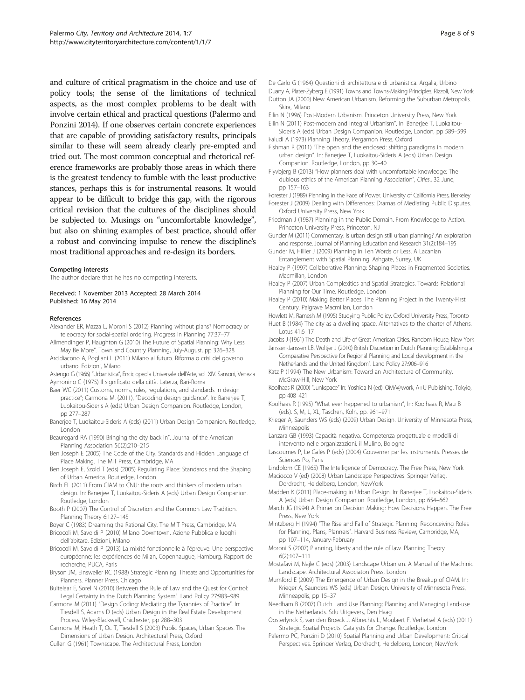<span id="page-7-0"></span>and culture of critical pragmatism in the choice and use of policy tools; the sense of the limitations of technical aspects, as the most complex problems to be dealt with involve certain ethical and practical questions (Palermo and Ponzini [2014](#page-8-0)). If one observes certain concrete experiences that are capable of providing satisfactory results, principals similar to these will seem already clearly pre-empted and tried out. The most common conceptual and rhetorical reference frameworks are probably those areas in which there is the greatest tendency to fumble with the least productive stances, perhaps this is for instrumental reasons. It would appear to be difficult to bridge this gap, with the rigorous critical revision that the cultures of the disciplines should be subjected to. Musings on "uncomfortable knowledge", but also on shining examples of best practice, should offer a robust and convincing impulse to renew the discipline's most traditional approaches and re-design its borders.

#### Competing interests

The author declare that he has no competing interests.

#### Received: 1 November 2013 Accepted: 28 March 2014 Published: 16 May 2014

#### References

- Alexander ER, Mazza L, Moroni S (2012) Planning without plans? Nomocracy or teleocracy for social-spatial ordering. Progress in Planning 77:37–77
- Allmendinger P, Haughton G (2010) The Future of Spatial Planning: Why Less May Be More". Town and Country Planning, July-August, pp 326–328
- Arcidiacono A, Pogliani L (2011) Milano al futuro. Riforma o crisi del governo urbano. Edizioni, Milano
- Astengo G (1966) "Urbanistica", Enciclopedia Universale dell'Arte, vol. XIV. Sansoni, Venezia Aymonino C (1975) Il significato della città. Laterza, Bari-Roma
- Baer WC (2011) Customs, norms, rules, regulations, and standards in design practice"; Carmona M. (2011), "Decoding design guidance". In: Banerjee T, Luokaitou-Sideris A (eds) Urban Design Companion. Routledge, London, pp 277–287
- Banerjee T, Luokaitou-Sideris A (eds) (2011) Urban Design Companion. Routledge, London
- Beauregard RA (1990) Bringing the city back in". Journal of the American Planning Association 56(2):210–215
- Ben Joseph E (2005) The Code of the City. Standards and Hidden Language of Place Making. The MIT Press, Cambridge, MA
- Ben Joseph E, Szold T (eds) (2005) Regulating Place: Standards and the Shaping of Urban America. Routledge, London
- Birch EL (2011) From CIAM to CNU: the roots and thinkers of modern urban design. In: Banerjee T, Luokaitou-Sideris A (eds) Urban Design Companion. Routledge, London
- Booth P (2007) The Control of Discretion and the Common Law Tradition. Planning Theory 6:127–145
- Boyer C (1983) Dreaming the Rational City. The MIT Press, Cambridge, MA Bricocoli M, Savoldi P (2010) Milano Downtown. Azione Pubblica e luoghi dell'abitare. Edizioni, Milano
- Bricocoli M, Savoldi P (2013) La mixité fonctionnelle à l'épreuve. Une perspective européenne: les expériences de Milan, Copenhaugue, Hamburg. Rapport de recherche, PUCA, Paris
- Bryson JM, Einsweiler RC (1988) Strategic Planning: Threats and Opportunities for Planners. Planner Press, Chicago
- Buitelaar E, Sorel N (2010) Between the Rule of Law and the Quest for Control: Legal Certainty in the Dutch Planning System". Land Policy 27:983–989
- Carmona M (2011) "Design Coding: Mediating the Tyrannies of Practice". In: Tiesdell S, Adams D (eds) Urban Design in the Real Estate Development Process. Wiley-Blackwell, Chichester, pp 288–303
- Carmona M, Heath T, Oc T, Tiesdell S (2003) Public Spaces, Urban Spaces. The Dimensions of Urban Design. Architectural Press, Oxford
- Cullen G (1961) Townscape. The Architectural Press, London
- De Carlo G (1964) Questioni di architettura e di urbanistica. Argalia, Urbino Duany A, Plater-Zyberg E (1991) Towns and Towns-Making Principles. Rizzoli, New York Dutton JA (2000) New American Urbanism. Reforming the Suburban Metropolis. Skira, Milano
- Ellin N (1996) Post-Modern Urbanism. Princeton University Press, New York
- Ellin N (2011) Post-modern and Integral Urbanism". In: Banerjee T, Luokaitou-Sideris A (eds) Urban Design Companion. Routledge, London, pp 589–599 Faludi A (1973) Planning Theory. Pergamon Press, Oxford
- Fishman R (2011) "The open and the enclosed: shifting paradigms in modern urban design". In: Banerjee T, Luokaitou-Sideris A (eds) Urban Design Companion. Routledge, London, pp 30–40
- Flyvbjerg B (2013) "How planners deal with uncomfortable knowledge: The dubious ethics of the American Planning Association", Cities., 32 June, pp 157–163
- Forester J (1989) Planning in the Face of Power. University of California Press, Berkeley
- Forester J (2009) Dealing with Differences: Dramas of Mediating Public Disputes. Oxford University Press, New York
- Friedman J (1987) Planning in the Public Domain. From Knowledge to Action. Princeton University Press, Princeton, NJ
- Gunder M (2011) Commentary: is urban design still urban planning? An exploration and response. Journal of Planning Education and Research 31(2):184–195
- Gunder M, Hillier J (2009) Planning in Ten Words or Less. A Lacanian Entanglement with Spatial Planning. Ashgate, Surrey, UK
- Healey P (1997) Collaborative Planning: Shaping Places in Fragmented Societies. Macmillan, London
- Healey P (2007) Urban Complexities and Spatial Strategies. Towards Relational Planning for Our Time. Routledge, London
- Healey P (2010) Making Better Places. The Planning Project in the Twenty-First Century. Palgrave Macmillan, London
- Howlett M, Ramesh M (1995) Studying Public Policy. Oxford University Press, Toronto Huet B (1984) The city as a dwelling space. Alternatives to the charter of Athens. Lotus 41:6–17
- Jacobs J (1961) The Death and Life of Great American Cities. Random House, New York
- Janssen-Janssen LB, Woltjer J (2010) British Discretion in Dutch Planning: Establishing a Comparative Perspective for Regional Planning and Local development in the
- Netherlands and the United Kingdom". Land Policy 27:906–916 Katz P (1994) The New Urbanism: Toward an Architecture of Community. McGraw-Hill, New York
- Koolhaas R (2000) "Junkspace" In: Yoshida N (ed). OMA@work, A+U Publishing, Tokyio, pp 408–421
- Koolhaas R (1995) "What ever happened to urbanism", In: Koolhaas R, Mau B (eds). S, M, L, XL, Taschen, Köln, pp. 961–971
- Krieger A, Saunders WS (eds) (2009) Urban Design. University of Minnesota Press, Minneapolis
- Lanzara GB (1993) Capacità negativa. Competenza progettuale e modelli di intervento nelle organizzazioni. il Mulino, Bologna
- Lascoumes P, Le Galès P (eds) (2004) Gouverner par les instruments. Presses de Sciences Po, Paris
- Lindblom CE (1965) The Intelligence of Democracy. The Free Press, New York
- Maciocco V (ed) (2008) Urban Landscape Perspectives. Springer Verlag, Dordrecht, Heidelberg, London, NewYork
- Madden K (2011) Place-making in Urban Design. In: Banerjee T, Luokaitou-Sideris A (eds) Urban Design Companion. Routledge, London, pp 654–662
- March JG (1994) A Primer on Decision Making: How Decisions Happen. The Free Press, New York
- Mintzberg H (1994) "The Rise and Fall of Strategic Planning. Reconceiving Roles for Planning, Plans, Planners". Harvard Business Review, Cambridge, MA, pp 107–114, January-February
- Moroni S (2007) Planning, liberty and the rule of law. Planning Theory 6(2):107–111
- Mostafavi M, Najle C (eds) (2003) Landscape Urbanism. A Manual of the Machinic Landscape. Architectural Associaton Press, London
- Mumford E (2009) The Emergence of Urban Design in the Breakup of CIAM. In: Krieger A, Saunders WS (eds) Urban Design. University of Minnesota Press, Minneapolis, pp 15–37
- Needham B (2007) Dutch Land Use Planning; Planning and Managing Land-use in the Netherlands. Sdu Uitgevers, Den Haag
- Oosterlynck S, van den Broeck J, Albrechts L, Moulaert F, Verhetsel A (eds) (2011) Strategic Spatial Projects. Catalysts for Change. Routledge, London
- Palermo PC, Ponzini D (2010) Spatial Planning and Urban Development: Critical Perspectives. Springer Verlag, Dordrecht, Heidelberg, London, NewYork